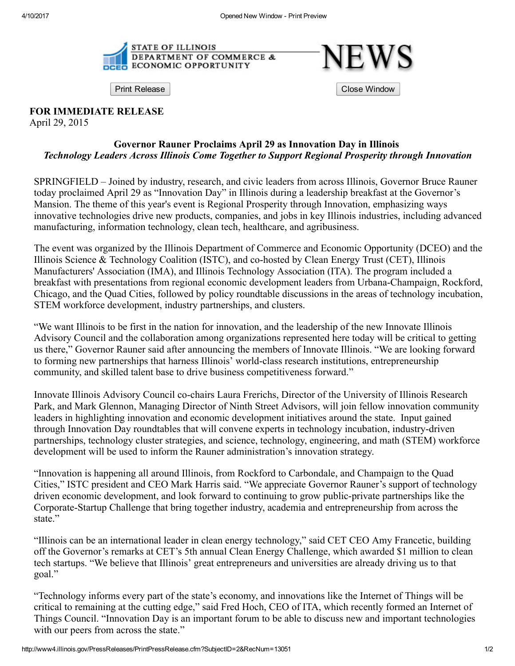

Print Release **Close Window Close Window** 

FOR IMMEDIATE RELEASE

April 29, 2015

## Governor Rauner Proclaims April 29 as Innovation Day in Illinois *Technology Leaders Across Illinois Come Together to Support Regional Prosperity through Innovation*

SPRINGFIELD – Joined by industry, research, and civic leaders from across Illinois, Governor Bruce Rauner today proclaimed April 29 as "Innovation Day" in Illinois during a leadership breakfast at the Governor's Mansion. The theme of this year's event is Regional Prosperity through Innovation, emphasizing ways innovative technologies drive new products, companies, and jobs in key Illinois industries, including advanced manufacturing, information technology, clean tech, healthcare, and agribusiness.

The event was organized by the Illinois Department of Commerce and Economic Opportunity (DCEO) and the Illinois Science & Technology Coalition (ISTC), and co-hosted by Clean Energy Trust (CET), Illinois Manufacturers' Association (IMA), and Illinois Technology Association (ITA). The program included a breakfast with presentations from regional economic development leaders from Urbana-Champaign, Rockford, Chicago, and the Quad Cities, followed by policy roundtable discussions in the areas of technology incubation, STEM workforce development, industry partnerships, and clusters.

"We want Illinois to be first in the nation for innovation, and the leadership of the new Innovate Illinois Advisory Council and the collaboration among organizations represented here today will be critical to getting us there," Governor Rauner said after announcing the members of Innovate Illinois. "We are looking forward to forming new partnerships that harness Illinois' world-class research institutions, entrepreneurship community, and skilled talent base to drive business competitiveness forward."

Innovate Illinois Advisory Council cochairs Laura Frerichs, Director of the University of Illinois Research Park, and Mark Glennon, Managing Director of Ninth Street Advisors, will join fellow innovation community leaders in highlighting innovation and economic development initiatives around the state. Input gained through Innovation Day roundtables that will convene experts in technology incubation, industry-driven partnerships, technology cluster strategies, and science, technology, engineering, and math (STEM) workforce development will be used to inform the Rauner administration's innovation strategy.

"Innovation is happening all around Illinois, from Rockford to Carbondale, and Champaign to the Quad Cities," ISTC president and CEO Mark Harris said. "We appreciate Governor Rauner's support of technology driven economic development, and look forward to continuing to grow public-private partnerships like the Corporate-Startup Challenge that bring together industry, academia and entrepreneurship from across the state."

"Illinois can be an international leader in clean energy technology," said CET CEO Amy Francetic, building off the Governor's remarks at CET's 5th annual Clean Energy Challenge, which awarded \$1 million to clean tech startups. "We believe that Illinois' great entrepreneurs and universities are already driving us to that goal."

"Technology informs every part of the state's economy, and innovations like the Internet of Things will be critical to remaining at the cutting edge," said Fred Hoch, CEO of ITA, which recently formed an Internet of Things Council. "Innovation Day is an important forum to be able to discuss new and important technologies with our peers from across the state."